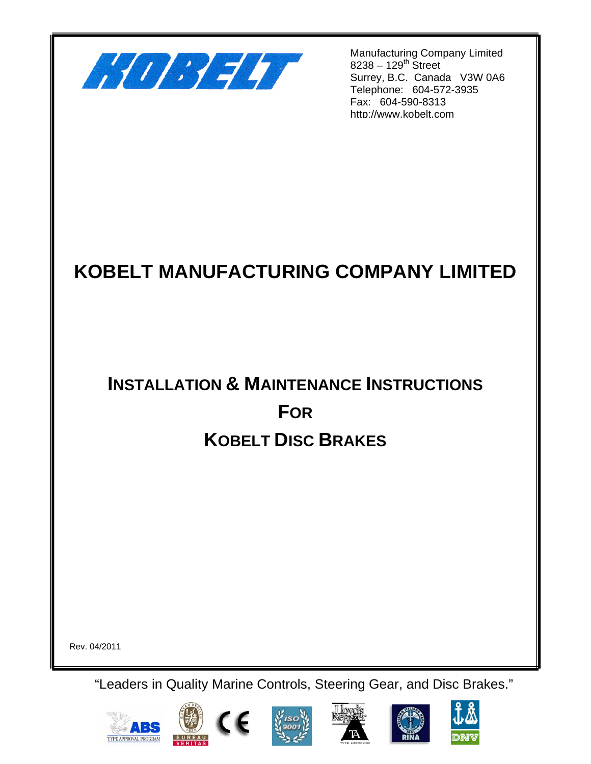

Manufacturing Company Limited  $8238 - 129^{th}$  Street Surrey, B.C. Canada V3W 0A6 Telephone: 604-572-3935 Fax: 604-590-8313 http://www.kobelt.com

# **KOBELT MANUFACTURING COMPANY LIMITED**

# **INSTALLATION & MAINTENANCE INSTRUCTIONS FOR KOBELT DISC BRAKES**

Rev. 04/2011

"Leaders in Quality Marine Controls, Steering Gear, and Disc Brakes."













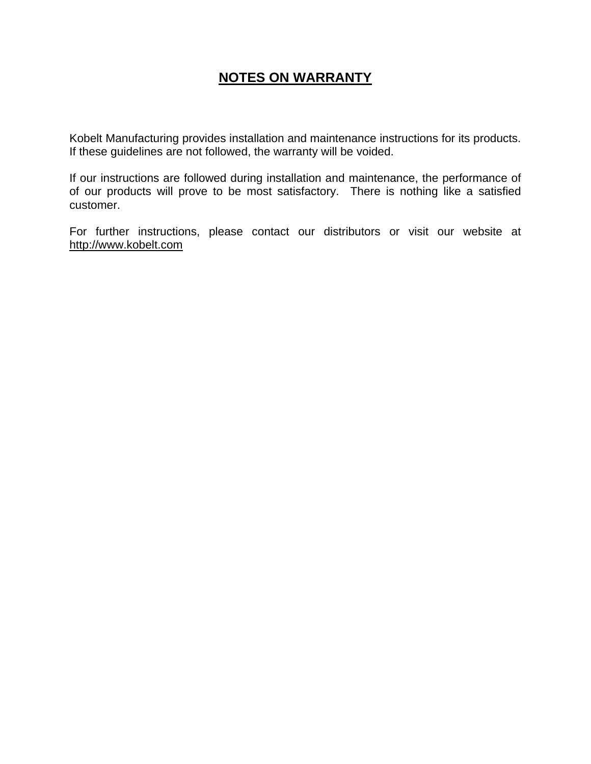# **NOTES ON WARRANTY**

Kobelt Manufacturing provides installation and maintenance instructions for its products. If these guidelines are not followed, the warranty will be voided.

If our instructions are followed during installation and maintenance, the performance of of our products will prove to be most satisfactory. There is nothing like a satisfied customer.

For further instructions, please contact our distributors or visit our website at http://www.kobelt.com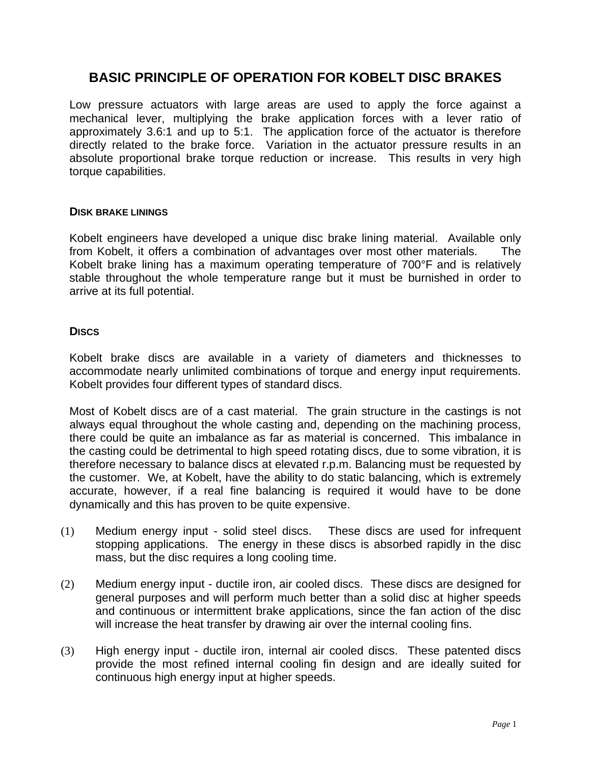## **BASIC PRINCIPLE OF OPERATION FOR KOBELT DISC BRAKES**

Low pressure actuators with large areas are used to apply the force against a mechanical lever, multiplying the brake application forces with a lever ratio of approximately 3.6:1 and up to 5:1. The application force of the actuator is therefore directly related to the brake force. Variation in the actuator pressure results in an absolute proportional brake torque reduction or increase. This results in very high torque capabilities.

### **DISK BRAKE LININGS**

Kobelt engineers have developed a unique disc brake lining material. Available only from Kobelt, it offers a combination of advantages over most other materials. The Kobelt brake lining has a maximum operating temperature of 700°F and is relatively stable throughout the whole temperature range but it must be burnished in order to arrive at its full potential.

### **DISCS**

Kobelt brake discs are available in a variety of diameters and thicknesses to accommodate nearly unlimited combinations of torque and energy input requirements. Kobelt provides four different types of standard discs.

Most of Kobelt discs are of a cast material. The grain structure in the castings is not always equal throughout the whole casting and, depending on the machining process, there could be quite an imbalance as far as material is concerned. This imbalance in the casting could be detrimental to high speed rotating discs, due to some vibration, it is therefore necessary to balance discs at elevated r.p.m. Balancing must be requested by the customer. We, at Kobelt, have the ability to do static balancing, which is extremely accurate, however, if a real fine balancing is required it would have to be done dynamically and this has proven to be quite expensive.

- (1) Medium energy input solid steel discs. These discs are used for infrequent stopping applications. The energy in these discs is absorbed rapidly in the disc mass, but the disc requires a long cooling time.
- (2) Medium energy input ductile iron, air cooled discs. These discs are designed for general purposes and will perform much better than a solid disc at higher speeds and continuous or intermittent brake applications, since the fan action of the disc will increase the heat transfer by drawing air over the internal cooling fins.
- (3) High energy input ductile iron, internal air cooled discs. These patented discs provide the most refined internal cooling fin design and are ideally suited for continuous high energy input at higher speeds.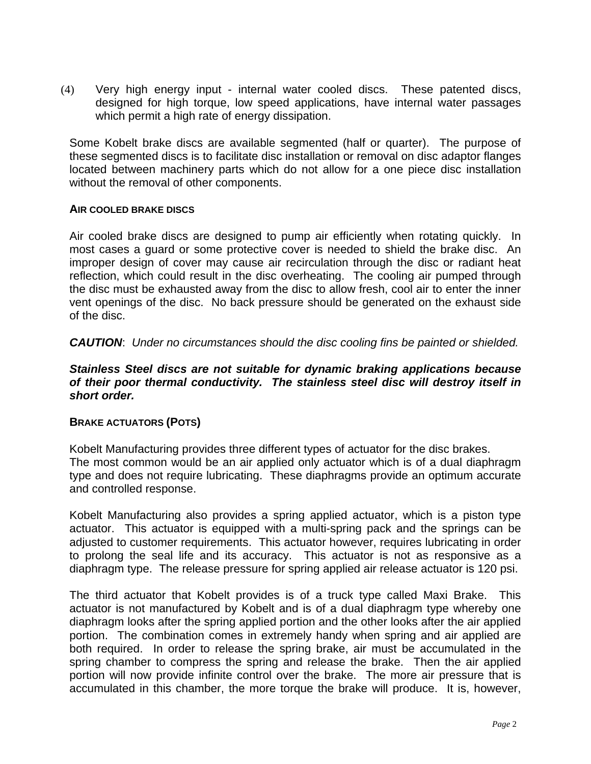(4) Very high energy input - internal water cooled discs. These patented discs, designed for high torque, low speed applications, have internal water passages which permit a high rate of energy dissipation.

Some Kobelt brake discs are available segmented (half or quarter). The purpose of these segmented discs is to facilitate disc installation or removal on disc adaptor flanges located between machinery parts which do not allow for a one piece disc installation without the removal of other components.

### **AIR COOLED BRAKE DISCS**

Air cooled brake discs are designed to pump air efficiently when rotating quickly. In most cases a guard or some protective cover is needed to shield the brake disc. An improper design of cover may cause air recirculation through the disc or radiant heat reflection, which could result in the disc overheating. The cooling air pumped through the disc must be exhausted away from the disc to allow fresh, cool air to enter the inner vent openings of the disc. No back pressure should be generated on the exhaust side of the disc.

*CAUTION*: *Under no circumstances should the disc cooling fins be painted or shielded.*

## *Stainless Steel discs are not suitable for dynamic braking applications because of their poor thermal conductivity. The stainless steel disc will destroy itself in short order.*

### **BRAKE ACTUATORS (POTS)**

Kobelt Manufacturing provides three different types of actuator for the disc brakes. The most common would be an air applied only actuator which is of a dual diaphragm type and does not require lubricating. These diaphragms provide an optimum accurate and controlled response.

Kobelt Manufacturing also provides a spring applied actuator, which is a piston type actuator. This actuator is equipped with a multi-spring pack and the springs can be adjusted to customer requirements. This actuator however, requires lubricating in order to prolong the seal life and its accuracy. This actuator is not as responsive as a diaphragm type. The release pressure for spring applied air release actuator is 120 psi.

The third actuator that Kobelt provides is of a truck type called Maxi Brake. This actuator is not manufactured by Kobelt and is of a dual diaphragm type whereby one diaphragm looks after the spring applied portion and the other looks after the air applied portion. The combination comes in extremely handy when spring and air applied are both required. In order to release the spring brake, air must be accumulated in the spring chamber to compress the spring and release the brake. Then the air applied portion will now provide infinite control over the brake. The more air pressure that is accumulated in this chamber, the more torque the brake will produce. It is, however,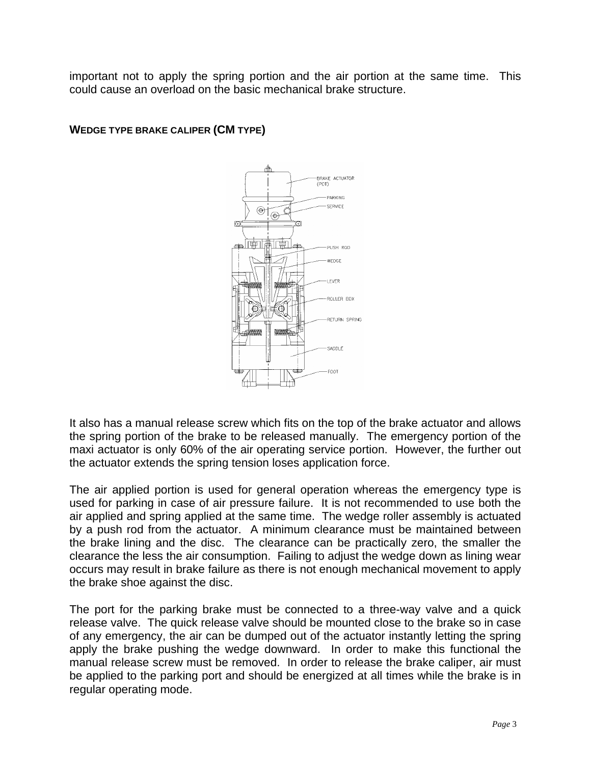important not to apply the spring portion and the air portion at the same time. This could cause an overload on the basic mechanical brake structure.



## **WEDGE TYPE BRAKE CALIPER (CM TYPE)**

It also has a manual release screw which fits on the top of the brake actuator and allows the spring portion of the brake to be released manually. The emergency portion of the maxi actuator is only 60% of the air operating service portion. However, the further out the actuator extends the spring tension loses application force.

The air applied portion is used for general operation whereas the emergency type is used for parking in case of air pressure failure. It is not recommended to use both the air applied and spring applied at the same time. The wedge roller assembly is actuated by a push rod from the actuator. A minimum clearance must be maintained between the brake lining and the disc. The clearance can be practically zero, the smaller the clearance the less the air consumption. Failing to adjust the wedge down as lining wear occurs may result in brake failure as there is not enough mechanical movement to apply the brake shoe against the disc.

The port for the parking brake must be connected to a three-way valve and a quick release valve. The quick release valve should be mounted close to the brake so in case of any emergency, the air can be dumped out of the actuator instantly letting the spring apply the brake pushing the wedge downward. In order to make this functional the manual release screw must be removed. In order to release the brake caliper, air must be applied to the parking port and should be energized at all times while the brake is in regular operating mode.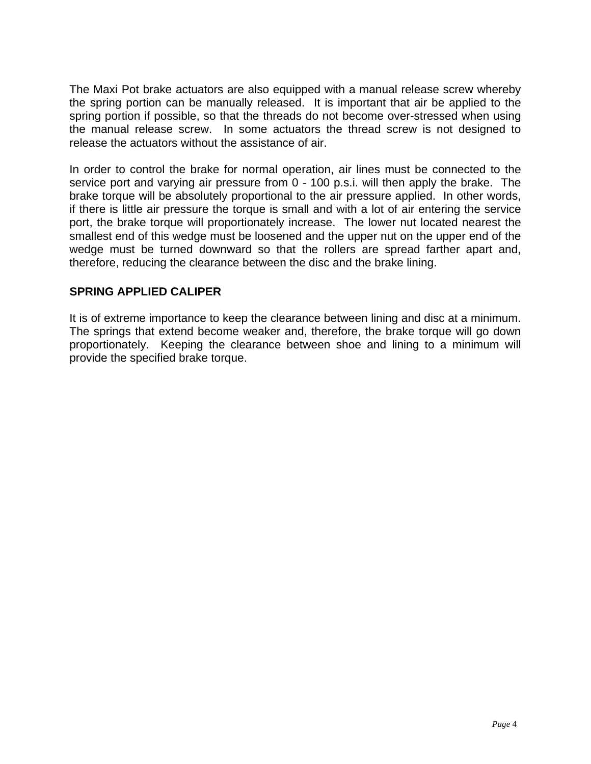The Maxi Pot brake actuators are also equipped with a manual release screw whereby the spring portion can be manually released. It is important that air be applied to the spring portion if possible, so that the threads do not become over-stressed when using the manual release screw. In some actuators the thread screw is not designed to release the actuators without the assistance of air.

In order to control the brake for normal operation, air lines must be connected to the service port and varying air pressure from 0 - 100 p.s.i. will then apply the brake. The brake torque will be absolutely proportional to the air pressure applied. In other words, if there is little air pressure the torque is small and with a lot of air entering the service port, the brake torque will proportionately increase. The lower nut located nearest the smallest end of this wedge must be loosened and the upper nut on the upper end of the wedge must be turned downward so that the rollers are spread farther apart and, therefore, reducing the clearance between the disc and the brake lining.

## **SPRING APPLIED CALIPER**

It is of extreme importance to keep the clearance between lining and disc at a minimum. The springs that extend become weaker and, therefore, the brake torque will go down proportionately. Keeping the clearance between shoe and lining to a minimum will provide the specified brake torque.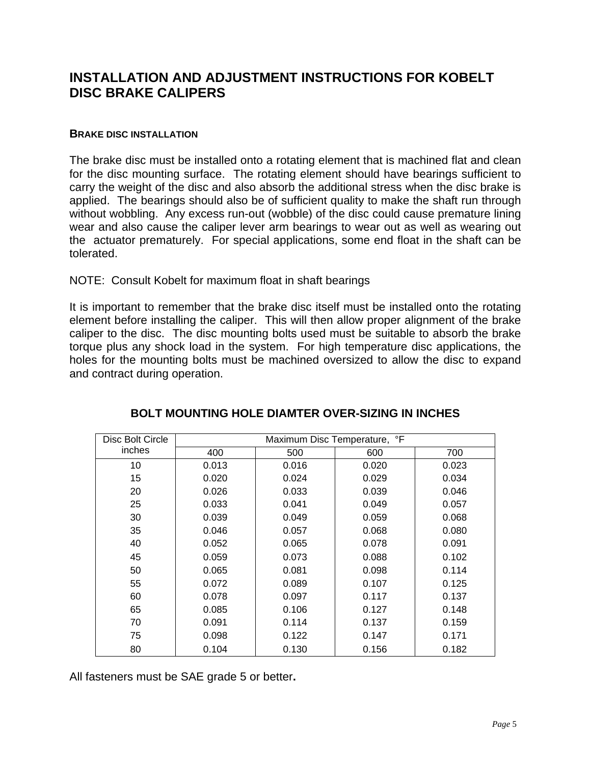## **INSTALLATION AND ADJUSTMENT INSTRUCTIONS FOR KOBELT DISC BRAKE CALIPERS**

#### **BRAKE DISC INSTALLATION**

The brake disc must be installed onto a rotating element that is machined flat and clean for the disc mounting surface. The rotating element should have bearings sufficient to carry the weight of the disc and also absorb the additional stress when the disc brake is applied. The bearings should also be of sufficient quality to make the shaft run through without wobbling. Any excess run-out (wobble) of the disc could cause premature lining wear and also cause the caliper lever arm bearings to wear out as well as wearing out the actuator prematurely. For special applications, some end float in the shaft can be tolerated.

### NOTE: Consult Kobelt for maximum float in shaft bearings

It is important to remember that the brake disc itself must be installed onto the rotating element before installing the caliper. This will then allow proper alignment of the brake caliper to the disc. The disc mounting bolts used must be suitable to absorb the brake torque plus any shock load in the system. For high temperature disc applications, the holes for the mounting bolts must be machined oversized to allow the disc to expand and contract during operation.

| Disc Bolt Circle | Maximum Disc Temperature, °F |       |       |       |
|------------------|------------------------------|-------|-------|-------|
| inches           | 400                          | 500   | 600   | 700   |
| 10               | 0.013                        | 0.016 | 0.020 | 0.023 |
| 15               | 0.020                        | 0.024 | 0.029 | 0.034 |
| 20               | 0.026                        | 0.033 | 0.039 | 0.046 |
| 25               | 0.033                        | 0.041 | 0.049 | 0.057 |
| 30               | 0.039                        | 0.049 | 0.059 | 0.068 |
| 35               | 0.046                        | 0.057 | 0.068 | 0.080 |
| 40               | 0.052                        | 0.065 | 0.078 | 0.091 |
| 45               | 0.059                        | 0.073 | 0.088 | 0.102 |
| 50               | 0.065                        | 0.081 | 0.098 | 0.114 |
| 55               | 0.072                        | 0.089 | 0.107 | 0.125 |
| 60               | 0.078                        | 0.097 | 0.117 | 0.137 |
| 65               | 0.085                        | 0.106 | 0.127 | 0.148 |
| 70               | 0.091                        | 0.114 | 0.137 | 0.159 |
| 75               | 0.098                        | 0.122 | 0.147 | 0.171 |
| 80               | 0.104                        | 0.130 | 0.156 | 0.182 |

## **BOLT MOUNTING HOLE DIAMTER OVER-SIZING IN INCHES**

All fasteners must be SAE grade 5 or better**.**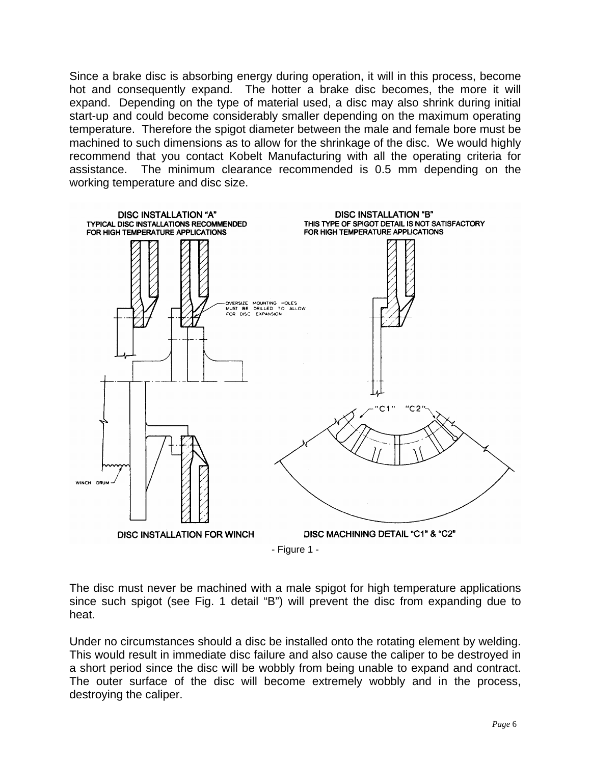Since a brake disc is absorbing energy during operation, it will in this process, become hot and consequently expand. The hotter a brake disc becomes, the more it will expand. Depending on the type of material used, a disc may also shrink during initial start-up and could become considerably smaller depending on the maximum operating temperature. Therefore the spigot diameter between the male and female bore must be machined to such dimensions as to allow for the shrinkage of the disc. We would highly recommend that you contact Kobelt Manufacturing with all the operating criteria for assistance. The minimum clearance recommended is 0.5 mm depending on the working temperature and disc size.



The disc must never be machined with a male spigot for high temperature applications since such spigot (see Fig. 1 detail "B") will prevent the disc from expanding due to heat.

Under no circumstances should a disc be installed onto the rotating element by welding. This would result in immediate disc failure and also cause the caliper to be destroyed in a short period since the disc will be wobbly from being unable to expand and contract. The outer surface of the disc will become extremely wobbly and in the process, destroying the caliper.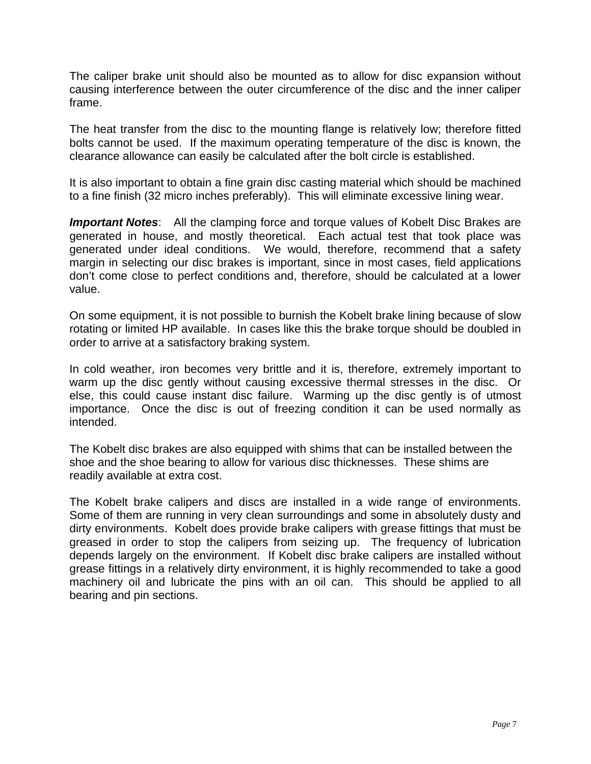The caliper brake unit should also be mounted as to allow for disc expansion without causing interference between the outer circumference of the disc and the inner caliper frame.

The heat transfer from the disc to the mounting flange is relatively low; therefore fitted bolts cannot be used. If the maximum operating temperature of the disc is known, the clearance allowance can easily be calculated after the bolt circle is established.

It is also important to obtain a fine grain disc casting material which should be machined to a fine finish (32 micro inches preferably). This will eliminate excessive lining wear.

*Important Notes*: All the clamping force and torque values of Kobelt Disc Brakes are generated in house, and mostly theoretical. Each actual test that took place was generated under ideal conditions. We would, therefore, recommend that a safety margin in selecting our disc brakes is important, since in most cases, field applications don't come close to perfect conditions and, therefore, should be calculated at a lower value.

On some equipment, it is not possible to burnish the Kobelt brake lining because of slow rotating or limited HP available. In cases like this the brake torque should be doubled in order to arrive at a satisfactory braking system.

In cold weather, iron becomes very brittle and it is, therefore, extremely important to warm up the disc gently without causing excessive thermal stresses in the disc. Or else, this could cause instant disc failure. Warming up the disc gently is of utmost importance. Once the disc is out of freezing condition it can be used normally as intended.

The Kobelt disc brakes are also equipped with shims that can be installed between the shoe and the shoe bearing to allow for various disc thicknesses. These shims are readily available at extra cost.

The Kobelt brake calipers and discs are installed in a wide range of environments. Some of them are running in very clean surroundings and some in absolutely dusty and dirty environments. Kobelt does provide brake calipers with grease fittings that must be greased in order to stop the calipers from seizing up. The frequency of lubrication depends largely on the environment. If Kobelt disc brake calipers are installed without grease fittings in a relatively dirty environment, it is highly recommended to take a good machinery oil and lubricate the pins with an oil can. This should be applied to all bearing and pin sections.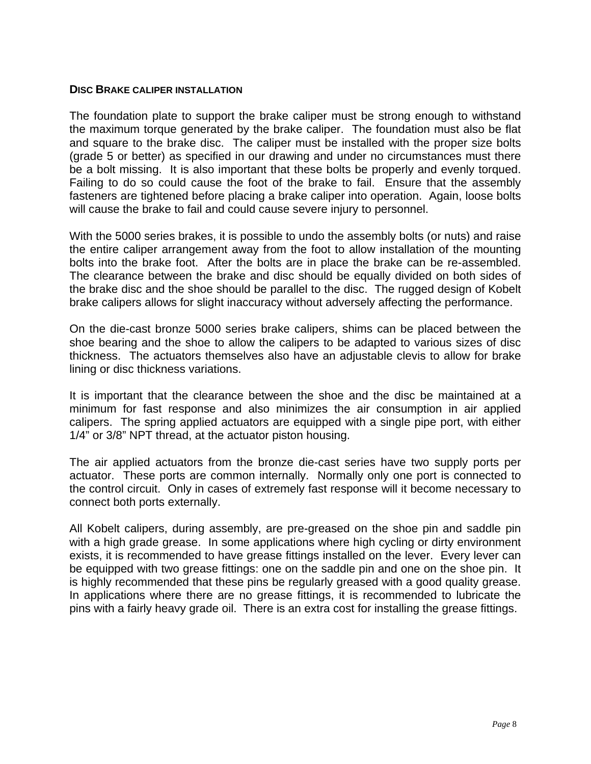#### **DISC BRAKE CALIPER INSTALLATION**

The foundation plate to support the brake caliper must be strong enough to withstand the maximum torque generated by the brake caliper. The foundation must also be flat and square to the brake disc. The caliper must be installed with the proper size bolts (grade 5 or better) as specified in our drawing and under no circumstances must there be a bolt missing. It is also important that these bolts be properly and evenly torqued. Failing to do so could cause the foot of the brake to fail. Ensure that the assembly fasteners are tightened before placing a brake caliper into operation. Again, loose bolts will cause the brake to fail and could cause severe injury to personnel.

With the 5000 series brakes, it is possible to undo the assembly bolts (or nuts) and raise the entire caliper arrangement away from the foot to allow installation of the mounting bolts into the brake foot. After the bolts are in place the brake can be re-assembled. The clearance between the brake and disc should be equally divided on both sides of the brake disc and the shoe should be parallel to the disc. The rugged design of Kobelt brake calipers allows for slight inaccuracy without adversely affecting the performance.

On the die-cast bronze 5000 series brake calipers, shims can be placed between the shoe bearing and the shoe to allow the calipers to be adapted to various sizes of disc thickness. The actuators themselves also have an adjustable clevis to allow for brake lining or disc thickness variations.

It is important that the clearance between the shoe and the disc be maintained at a minimum for fast response and also minimizes the air consumption in air applied calipers. The spring applied actuators are equipped with a single pipe port, with either 1/4" or 3/8" NPT thread, at the actuator piston housing.

The air applied actuators from the bronze die-cast series have two supply ports per actuator. These ports are common internally. Normally only one port is connected to the control circuit. Only in cases of extremely fast response will it become necessary to connect both ports externally.

All Kobelt calipers, during assembly, are pre-greased on the shoe pin and saddle pin with a high grade grease. In some applications where high cycling or dirty environment exists, it is recommended to have grease fittings installed on the lever. Every lever can be equipped with two grease fittings: one on the saddle pin and one on the shoe pin. It is highly recommended that these pins be regularly greased with a good quality grease. In applications where there are no grease fittings, it is recommended to lubricate the pins with a fairly heavy grade oil. There is an extra cost for installing the grease fittings.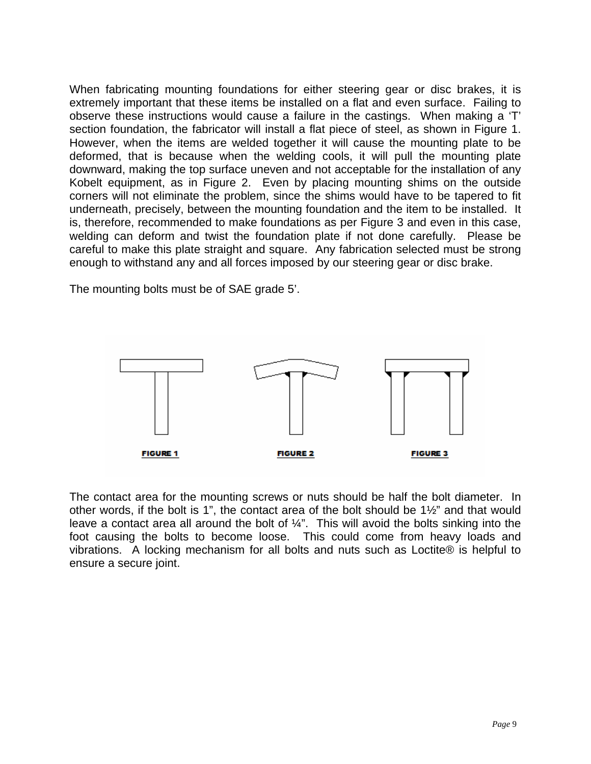When fabricating mounting foundations for either steering gear or disc brakes, it is extremely important that these items be installed on a flat and even surface. Failing to observe these instructions would cause a failure in the castings. When making a 'T' section foundation, the fabricator will install a flat piece of steel, as shown in Figure 1. However, when the items are welded together it will cause the mounting plate to be deformed, that is because when the welding cools, it will pull the mounting plate downward, making the top surface uneven and not acceptable for the installation of any Kobelt equipment, as in Figure 2. Even by placing mounting shims on the outside corners will not eliminate the problem, since the shims would have to be tapered to fit underneath, precisely, between the mounting foundation and the item to be installed. It is, therefore, recommended to make foundations as per Figure 3 and even in this case, welding can deform and twist the foundation plate if not done carefully. Please be careful to make this plate straight and square. Any fabrication selected must be strong enough to withstand any and all forces imposed by our steering gear or disc brake.

The mounting bolts must be of SAE grade 5'.



The contact area for the mounting screws or nuts should be half the bolt diameter. In other words, if the bolt is 1", the contact area of the bolt should be 1½" and that would leave a contact area all around the bolt of ¼". This will avoid the bolts sinking into the foot causing the bolts to become loose. This could come from heavy loads and vibrations. A locking mechanism for all bolts and nuts such as Loctite® is helpful to ensure a secure joint.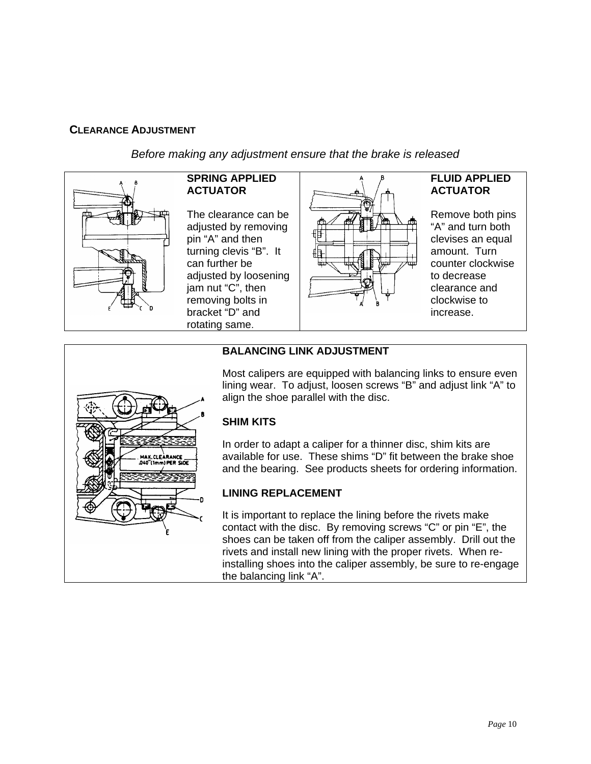## **CLEARANCE ADJUSTMENT**

*Before making any adjustment ensure that the brake is released* 



## **SPRING APPLIED ACTUATOR**

The clearance can be adjusted by removing pin "A" and then turning clevis "B". It can further be adjusted by loosening jam nut "C", then removing bolts in bracket "D" and rotating same.



## **FLUID APPLIED ACTUATOR**

Remove both pins "A" and turn both clevises an equal amount. Turn counter clockwise to decrease clearance and clockwise to increase.



## **BALANCING LINK ADJUSTMENT**

Most calipers are equipped with balancing links to ensure even lining wear. To adjust, loosen screws "B" and adjust link "A" to align the shoe parallel with the disc.

## **SHIM KITS**

In order to adapt a caliper for a thinner disc, shim kits are available for use. These shims "D" fit between the brake shoe and the bearing. See products sheets for ordering information.

## **LINING REPLACEMENT**

It is important to replace the lining before the rivets make contact with the disc. By removing screws "C" or pin "E", the shoes can be taken off from the caliper assembly. Drill out the rivets and install new lining with the proper rivets. When reinstalling shoes into the caliper assembly, be sure to re-engage the balancing link "A".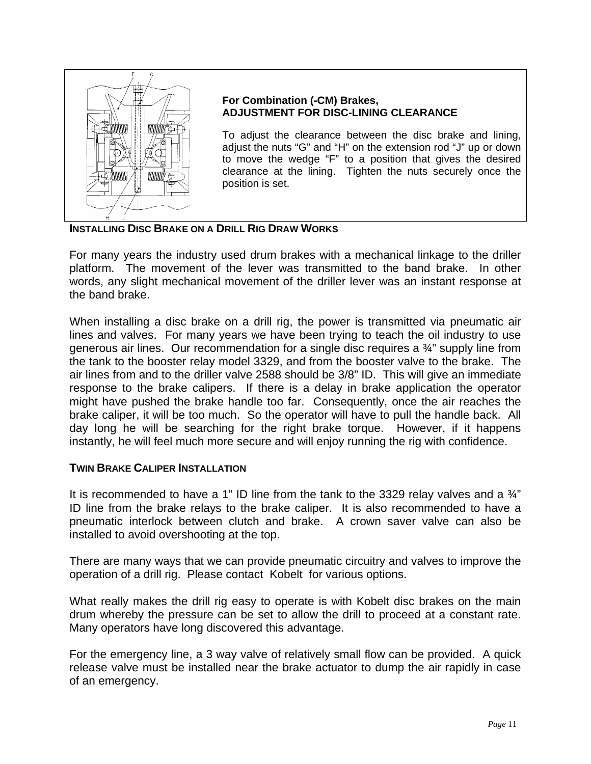

## **For Combination (-CM) Brakes, ADJUSTMENT FOR DISC-LINING CLEARANCE**

To adjust the clearance between the disc brake and lining, adjust the nuts "G" and "H" on the extension rod "J" up or down to move the wedge "F" to a position that gives the desired clearance at the lining. Tighten the nuts securely once the position is set.

## **INSTALLING DISC BRAKE ON A DRILL RIG DRAW WORKS**

For many years the industry used drum brakes with a mechanical linkage to the driller platform. The movement of the lever was transmitted to the band brake. In other words, any slight mechanical movement of the driller lever was an instant response at the band brake.

When installing a disc brake on a drill rig, the power is transmitted via pneumatic air lines and valves. For many years we have been trying to teach the oil industry to use generous air lines. Our recommendation for a single disc requires a ¾" supply line from the tank to the booster relay model 3329, and from the booster valve to the brake. The air lines from and to the driller valve 2588 should be 3/8" ID. This will give an immediate response to the brake calipers. If there is a delay in brake application the operator might have pushed the brake handle too far. Consequently, once the air reaches the brake caliper, it will be too much. So the operator will have to pull the handle back. All day long he will be searching for the right brake torque. However, if it happens instantly, he will feel much more secure and will enjoy running the rig with confidence.

### **TWIN BRAKE CALIPER INSTALLATION**

It is recommended to have a 1" ID line from the tank to the 3329 relay valves and a  $\frac{3}{4}$ " ID line from the brake relays to the brake caliper. It is also recommended to have a pneumatic interlock between clutch and brake. A crown saver valve can also be installed to avoid overshooting at the top.

There are many ways that we can provide pneumatic circuitry and valves to improve the operation of a drill rig. Please contact Kobelt for various options.

What really makes the drill rig easy to operate is with Kobelt disc brakes on the main drum whereby the pressure can be set to allow the drill to proceed at a constant rate. Many operators have long discovered this advantage.

For the emergency line, a 3 way valve of relatively small flow can be provided. A quick release valve must be installed near the brake actuator to dump the air rapidly in case of an emergency.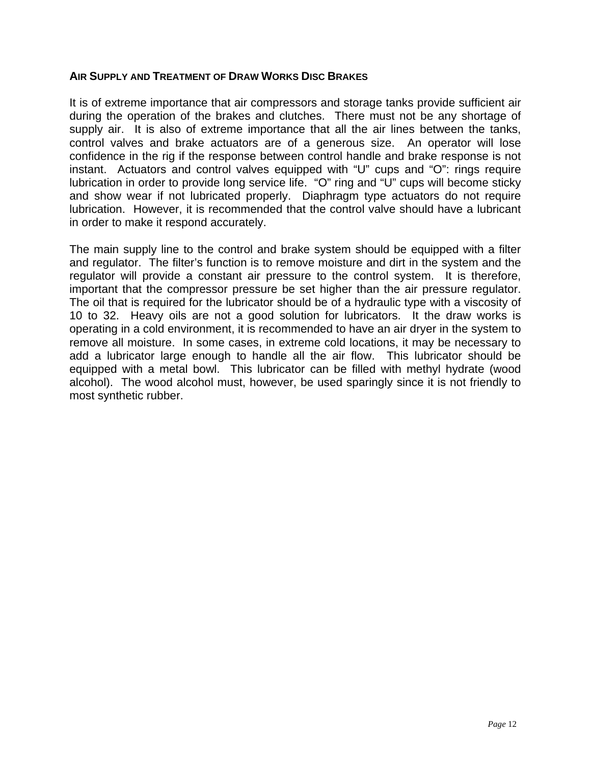### **AIR SUPPLY AND TREATMENT OF DRAW WORKS DISC BRAKES**

It is of extreme importance that air compressors and storage tanks provide sufficient air during the operation of the brakes and clutches. There must not be any shortage of supply air. It is also of extreme importance that all the air lines between the tanks, control valves and brake actuators are of a generous size. An operator will lose confidence in the rig if the response between control handle and brake response is not instant. Actuators and control valves equipped with "U" cups and "O": rings require lubrication in order to provide long service life. "O" ring and "U" cups will become sticky and show wear if not lubricated properly. Diaphragm type actuators do not require lubrication. However, it is recommended that the control valve should have a lubricant in order to make it respond accurately.

The main supply line to the control and brake system should be equipped with a filter and regulator. The filter's function is to remove moisture and dirt in the system and the regulator will provide a constant air pressure to the control system. It is therefore, important that the compressor pressure be set higher than the air pressure regulator. The oil that is required for the lubricator should be of a hydraulic type with a viscosity of 10 to 32. Heavy oils are not a good solution for lubricators. It the draw works is operating in a cold environment, it is recommended to have an air dryer in the system to remove all moisture. In some cases, in extreme cold locations, it may be necessary to add a lubricator large enough to handle all the air flow. This lubricator should be equipped with a metal bowl. This lubricator can be filled with methyl hydrate (wood alcohol). The wood alcohol must, however, be used sparingly since it is not friendly to most synthetic rubber.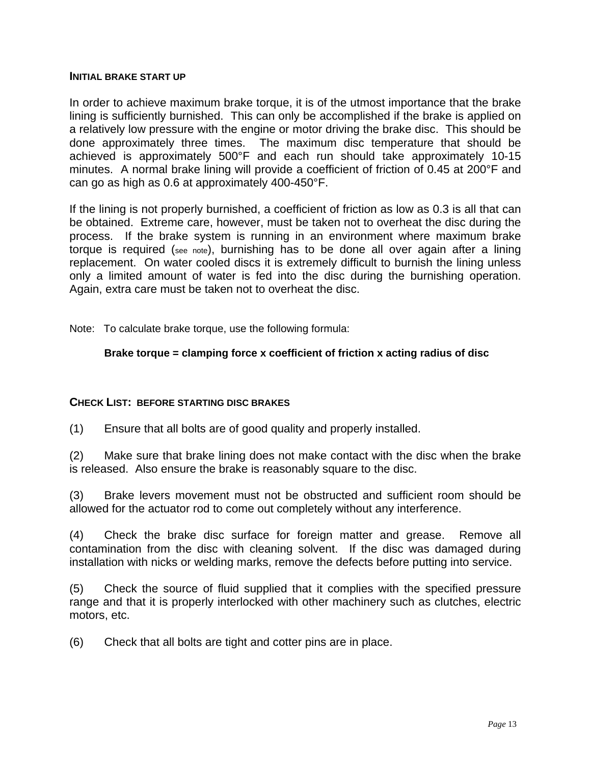#### **INITIAL BRAKE START UP**

In order to achieve maximum brake torque, it is of the utmost importance that the brake lining is sufficiently burnished. This can only be accomplished if the brake is applied on a relatively low pressure with the engine or motor driving the brake disc. This should be done approximately three times. The maximum disc temperature that should be achieved is approximately 500°F and each run should take approximately 10-15 minutes. A normal brake lining will provide a coefficient of friction of 0.45 at 200°F and can go as high as 0.6 at approximately 400-450°F.

If the lining is not properly burnished, a coefficient of friction as low as 0.3 is all that can be obtained. Extreme care, however, must be taken not to overheat the disc during the process. If the brake system is running in an environment where maximum brake torque is required (see note), burnishing has to be done all over again after a lining replacement. On water cooled discs it is extremely difficult to burnish the lining unless only a limited amount of water is fed into the disc during the burnishing operation. Again, extra care must be taken not to overheat the disc.

Note: To calculate brake torque, use the following formula:

## **Brake torque = clamping force x coefficient of friction x acting radius of disc**

## **CHECK LIST: BEFORE STARTING DISC BRAKES**

(1) Ensure that all bolts are of good quality and properly installed.

(2) Make sure that brake lining does not make contact with the disc when the brake is released. Also ensure the brake is reasonably square to the disc.

(3) Brake levers movement must not be obstructed and sufficient room should be allowed for the actuator rod to come out completely without any interference.

(4) Check the brake disc surface for foreign matter and grease. Remove all contamination from the disc with cleaning solvent. If the disc was damaged during installation with nicks or welding marks, remove the defects before putting into service.

(5) Check the source of fluid supplied that it complies with the specified pressure range and that it is properly interlocked with other machinery such as clutches, electric motors, etc.

(6) Check that all bolts are tight and cotter pins are in place.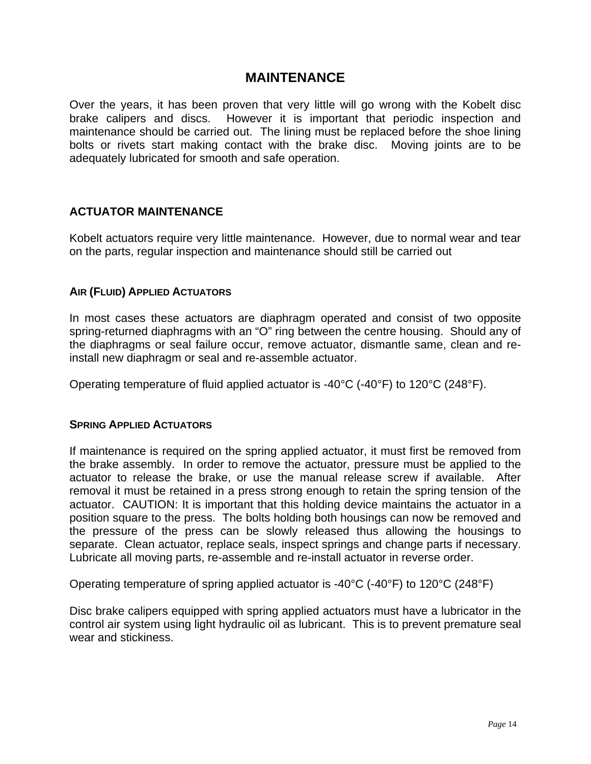## **MAINTENANCE**

Over the years, it has been proven that very little will go wrong with the Kobelt disc brake calipers and discs. However it is important that periodic inspection and maintenance should be carried out. The lining must be replaced before the shoe lining bolts or rivets start making contact with the brake disc. Moving joints are to be adequately lubricated for smooth and safe operation.

## **ACTUATOR MAINTENANCE**

Kobelt actuators require very little maintenance. However, due to normal wear and tear on the parts, regular inspection and maintenance should still be carried out

## **AIR (FLUID) APPLIED ACTUATORS**

In most cases these actuators are diaphragm operated and consist of two opposite spring-returned diaphragms with an "O" ring between the centre housing. Should any of the diaphragms or seal failure occur, remove actuator, dismantle same, clean and reinstall new diaphragm or seal and re-assemble actuator.

Operating temperature of fluid applied actuator is -40 $\degree$ C (-40 $\degree$ F) to 120 $\degree$ C (248 $\degree$ F).

### **SPRING APPLIED ACTUATORS**

If maintenance is required on the spring applied actuator, it must first be removed from the brake assembly. In order to remove the actuator, pressure must be applied to the actuator to release the brake, or use the manual release screw if available. After removal it must be retained in a press strong enough to retain the spring tension of the actuator. CAUTION: It is important that this holding device maintains the actuator in a position square to the press. The bolts holding both housings can now be removed and the pressure of the press can be slowly released thus allowing the housings to separate. Clean actuator, replace seals, inspect springs and change parts if necessary. Lubricate all moving parts, re-assemble and re-install actuator in reverse order.

Operating temperature of spring applied actuator is -40°C (-40°F) to 120°C (248°F)

Disc brake calipers equipped with spring applied actuators must have a lubricator in the control air system using light hydraulic oil as lubricant. This is to prevent premature seal wear and stickiness.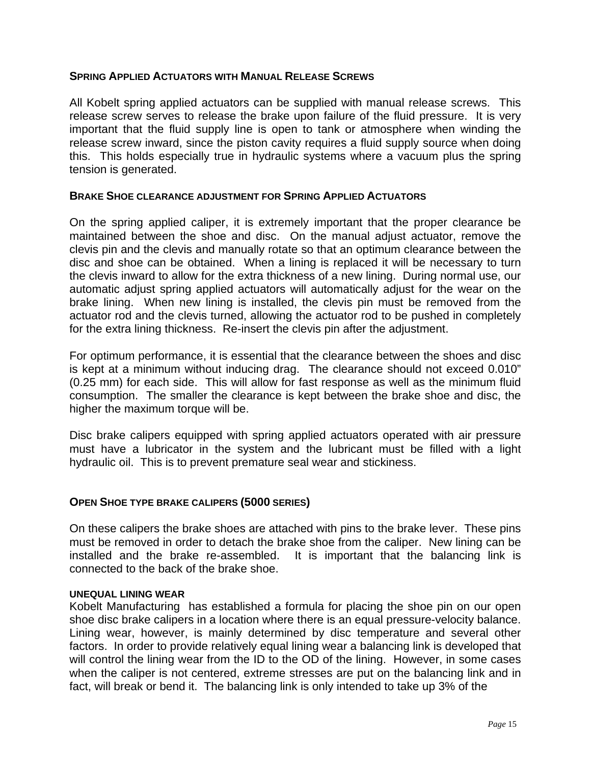## **SPRING APPLIED ACTUATORS WITH MANUAL RELEASE SCREWS**

All Kobelt spring applied actuators can be supplied with manual release screws. This release screw serves to release the brake upon failure of the fluid pressure. It is very important that the fluid supply line is open to tank or atmosphere when winding the release screw inward, since the piston cavity requires a fluid supply source when doing this. This holds especially true in hydraulic systems where a vacuum plus the spring tension is generated.

### **BRAKE SHOE CLEARANCE ADJUSTMENT FOR SPRING APPLIED ACTUATORS**

On the spring applied caliper, it is extremely important that the proper clearance be maintained between the shoe and disc. On the manual adjust actuator, remove the clevis pin and the clevis and manually rotate so that an optimum clearance between the disc and shoe can be obtained. When a lining is replaced it will be necessary to turn the clevis inward to allow for the extra thickness of a new lining. During normal use, our automatic adjust spring applied actuators will automatically adjust for the wear on the brake lining. When new lining is installed, the clevis pin must be removed from the actuator rod and the clevis turned, allowing the actuator rod to be pushed in completely for the extra lining thickness. Re-insert the clevis pin after the adjustment.

For optimum performance, it is essential that the clearance between the shoes and disc is kept at a minimum without inducing drag. The clearance should not exceed 0.010" (0.25 mm) for each side. This will allow for fast response as well as the minimum fluid consumption. The smaller the clearance is kept between the brake shoe and disc, the higher the maximum torque will be.

Disc brake calipers equipped with spring applied actuators operated with air pressure must have a lubricator in the system and the lubricant must be filled with a light hydraulic oil. This is to prevent premature seal wear and stickiness.

### **OPEN SHOE TYPE BRAKE CALIPERS (5000 SERIES)**

On these calipers the brake shoes are attached with pins to the brake lever. These pins must be removed in order to detach the brake shoe from the caliper. New lining can be installed and the brake re-assembled. It is important that the balancing link is connected to the back of the brake shoe.

#### **UNEQUAL LINING WEAR**

Kobelt Manufacturing has established a formula for placing the shoe pin on our open shoe disc brake calipers in a location where there is an equal pressure-velocity balance. Lining wear, however, is mainly determined by disc temperature and several other factors. In order to provide relatively equal lining wear a balancing link is developed that will control the lining wear from the ID to the OD of the lining. However, in some cases when the caliper is not centered, extreme stresses are put on the balancing link and in fact, will break or bend it. The balancing link is only intended to take up 3% of the